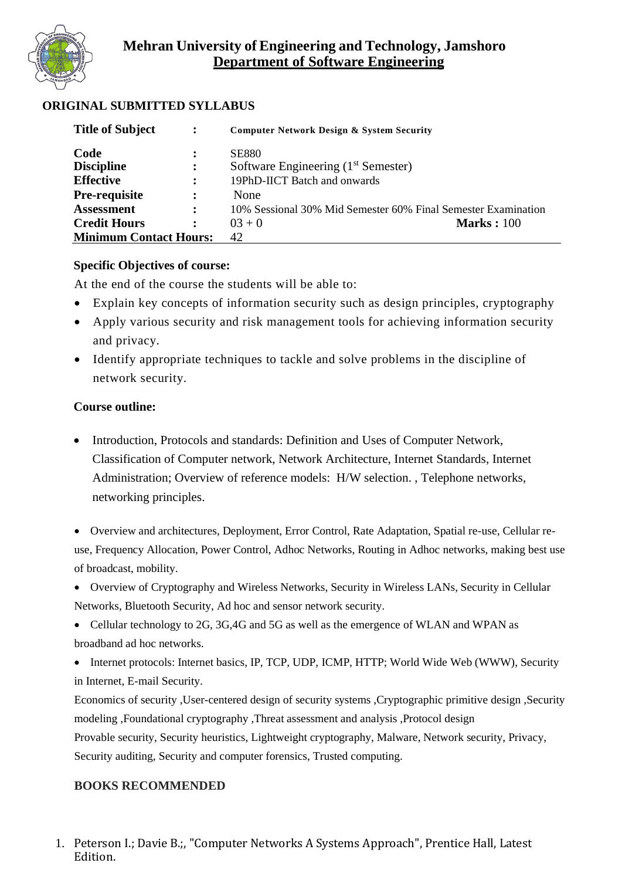

## **ORIGINAL SUBMITTED SYLLABUS**

| <b>Title of Subject</b>       | $\ddot{\cdot}$ | <b>Computer Network Design &amp; System Security</b>          |
|-------------------------------|----------------|---------------------------------------------------------------|
| Code                          | $\ddot{\cdot}$ | <b>SE880</b>                                                  |
| <b>Discipline</b>             | $\ddot{\cdot}$ | Software Engineering (1 <sup>st</sup> Semester)               |
| <b>Effective</b>              | $\ddot{\cdot}$ | 19PhD-IICT Batch and onwards                                  |
| <b>Pre-requisite</b>          | $\ddot{\cdot}$ | None                                                          |
| <b>Assessment</b>             | $\ddot{\cdot}$ | 10% Sessional 30% Mid Semester 60% Final Semester Examination |
| <b>Credit Hours</b>           | $\ddot{\cdot}$ | <b>Marks</b> : 100<br>$03 + 0$                                |
| <b>Minimum Contact Hours:</b> |                | 42                                                            |

### **Specific Objectives of course:**

At the end of the course the students will be able to:

- Explain key concepts of information security such as design principles, cryptography
- Apply various security and risk management tools for achieving information security and privacy.
- Identify appropriate techniques to tackle and solve problems in the discipline of network security.

## **Course outline:**

• Introduction, Protocols and standards: Definition and Uses of Computer Network, Classification of Computer network, Network Architecture, Internet Standards, Internet Administration; Overview of reference models: H/W selection. , Telephone networks, networking principles.

• Overview and architectures, Deployment, Error Control, Rate Adaptation, Spatial re-use, Cellular reuse, Frequency Allocation, Power Control, Adhoc Networks, Routing in Adhoc networks, making best use of broadcast, mobility.

• Overview of Cryptography and Wireless Networks, Security in Wireless LANs, Security in Cellular Networks, Bluetooth Security, Ad hoc and sensor network security.

• Cellular technology to 2G, 3G,4G and 5G as well as the emergence of WLAN and WPAN as broadband ad hoc networks.

• Internet protocols: Internet basics, IP, TCP, UDP, ICMP, HTTP; World Wide Web (WWW), Security in Internet, E-mail Security.

Economics of security ,User-centered design of security systems ,Cryptographic primitive design ,Security modeling ,Foundational cryptography ,Threat assessment and analysis ,Protocol design Provable security, Security heuristics, Lightweight cryptography, Malware, Network security, Privacy, Security auditing, Security and computer forensics, Trusted computing.

## **BOOKS RECOMMENDED**

1. Peterson I.; Davie B.;, "Computer Networks A Systems Approach", Prentice Hall, Latest Edition.